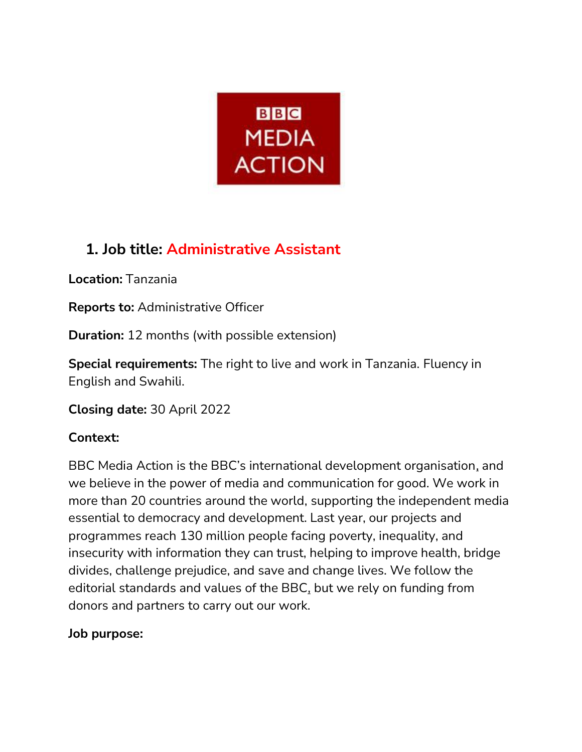

# **1. Job title: Administrative Assistant**

**Location:** Tanzania

**Reports to:** Administrative Officer

**Duration:** 12 months (with possible extension)

**Special requirements:** The right to live and work in Tanzania. Fluency in English and Swahili.

**Closing date:** 30 April 2022

## **Context:**

BBC Media Action is the BBC's international development organisation[,](https://helpfuljobs.info/) and we believe in the power of media and communication for good. We work in more than 20 countries around the world, supporting the independent media essential to democracy and development. Last year, our projects and programmes reach 130 million people facing poverty, inequality, and insecurity with information they can trust, helping to improve health, bridge divides, challenge prejudice, and save and change lives. We follow the editorial standards and values of the BB[C,](https://helpfuljobs.info/) but we rely on funding from donors and partners to carry out our work.

### **Job purpose:**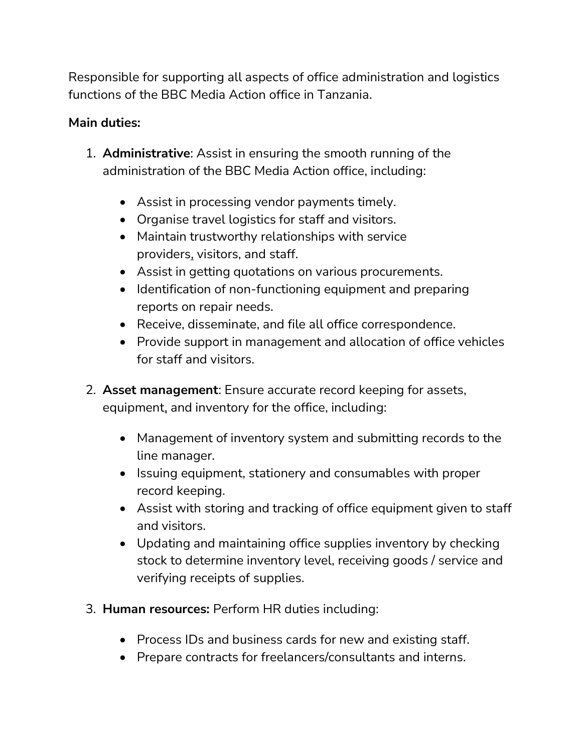Responsible for supporting all aspects of office administration and logistics functions of the BBC Media Action office in Tanzania.

### **Main duties:**

- 1. **Administrative**: Assist in ensuring the smooth running of the administration of the BBC Media Action office, including:
	- Assist in processing vendor payments timely.
	- Organise travel logistics for staff and visitors.
	- Maintain trustworthy relationships with service provider[s,](https://helpfuljobs.info/) visitors, and staff.
	- Assist in getting quotations on various procurements.
	- Identification of non-functioning equipment and preparing reports on repair needs.
	- Receive, disseminate, and file all office correspondence.
	- Provide support in management and allocation of office vehicles for staff and visitors.
- 2. **Asset management**: Ensure accurate record keeping for assets, equipmen[t,](https://helpfuljobs.info/) and inventory for the office, including:
	- Management of inventory system and submitting records to the line manager.
	- Issuing equipment, stationery and consumables with proper record keeping.
	- Assist with storing and tracking of office equipment given to staff and visitors.
	- Updating and maintaining office supplies inventory by checking stock to determine inventory level, receiving goods / service and verifying receipts of supplies.
- 3. **Human resources:** Perform HR duties including:
	- Process IDs and business cards for new and existing staff.
	- Prepare contracts for freelancers/consultants and interns.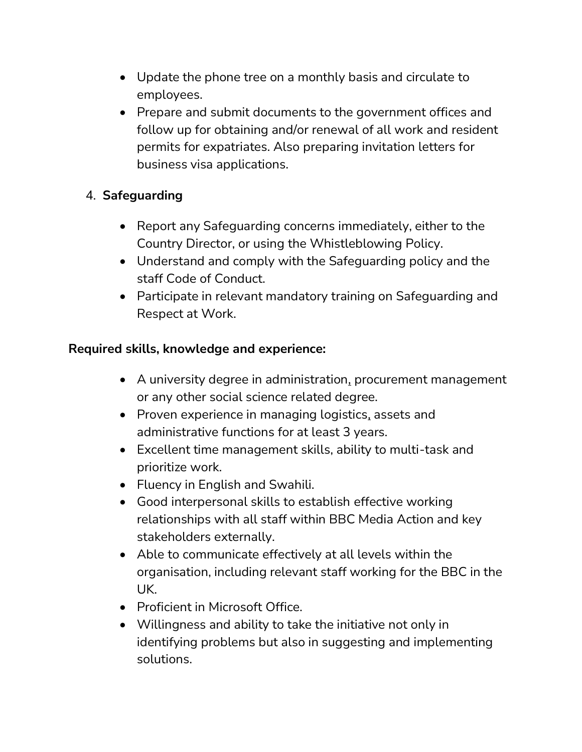- Update the phone tree on a monthly basis and circulate to employees.
- Prepare and submit documents to the government offices and follow up for obtaining and/or renewal of all work and resident permits for expatriates. Also preparing invitation letters for business visa applications.

### 4. **Safeguarding**

- Report any Safeguarding concerns immediately, either to the Country Director, or using the Whistleblowing Policy.
- Understand and comply with the Safeguarding policy and the staff Code of Conduct.
- Participate in relevant mandatory training on Safeguarding and Respect at Work.

### **Required skills, knowledge and experience:**

- A university degree in administratio[n,](https://helpfuljobs.info/) procurement management or any other social science related degree.
- Proven experience in managing logistic[s,](https://helpfuljobs.info/) assets and administrative functions for at least 3 years.
- Excellent time management skills, ability to multi-task and prioritize work.
- Fluency in English and Swahili.
- Good interpersonal skills to establish effective working relationships with all staff within BBC Media Action and key stakeholders externally.
- Able to communicate effectively at all levels within the organisation, including relevant staff working for the BBC in the UK.
- Proficient in Microsoft Office.
- Willingness and ability to take the initiative not only in identifying problems but also in suggesting and implementing solutions.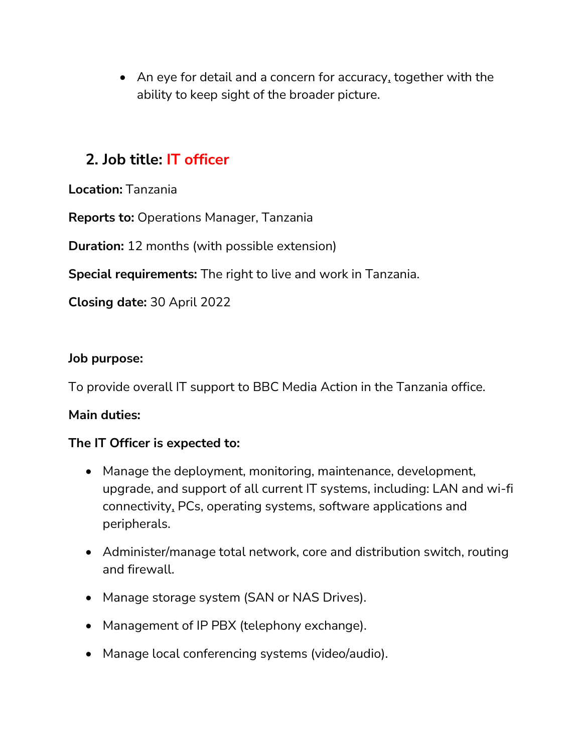• An eye for detail and a concern for accurac[y,](https://helpfuljobs.info/) together with the ability to keep sight of the broader picture.

# **2. Job title: IT officer**

**Location:** Tanzania

**Reports to:** Operations Manager, Tanzania

**Duration:** 12 months (with possible extension)

**Special requirements:** The right to live and work in Tanzania.

**Closing date:** 30 April 2022

#### **Job purpose:**

To provide overall IT support to BBC Media Action in the Tanzania office.

#### **Main duties:**

#### **The IT Officer is expected to:**

- Manage the deployment, monitoring, maintenance, development, upgrade, and support of all current IT systems, including: LAN and wi-fi connectivit[y,](https://helpfuljobs.info/) PCs, operating systems, software applications and peripherals.
- Administer/manage total network, core and distribution switch, routing and firewall.
- Manage storage system (SAN or NAS Drives).
- Management of IP PBX (telephony exchange).
- Manage local conferencing systems (video/audio).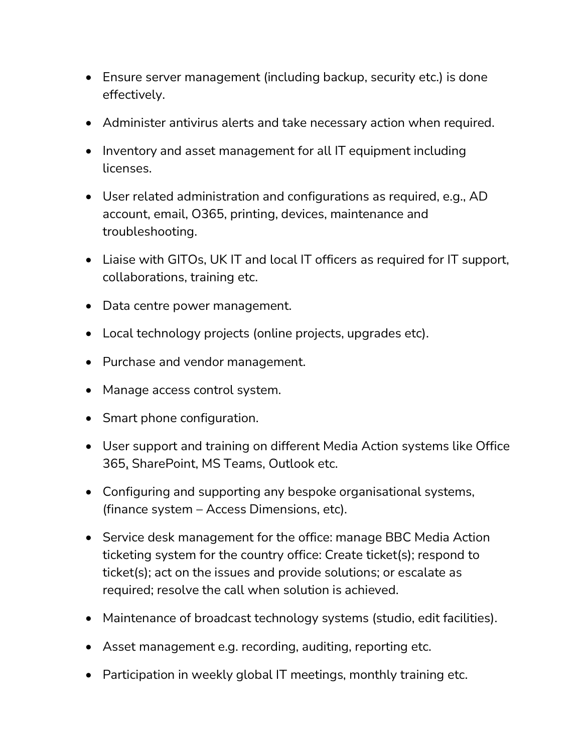- Ensure server management (including backup, security etc.) is done effectively.
- Administer antivirus alerts and take necessary action when required.
- Inventory and asset management for all IT equipment including licenses.
- User related administration and configurations as required, e.g., AD account, email, O365, printing, devices, maintenance and troubleshooting.
- Liaise with GITOs, UK IT and local IT officers as required for IT support, collaborations, training etc.
- Data centre power management.
- Local technology projects (online projects, upgrades etc).
- Purchase and vendor management.
- Manage access control system.
- Smart phone configuration.
- User support and training on different Media Action systems like Office 36[5,](https://helpfuljobs.info/) SharePoint, MS Teams, Outlook etc.
- Configuring and supporting any bespoke organisational systems, (finance system – Access Dimensions, etc).
- Service desk management for the office: manage BBC Media Action ticketing system for the country office: Create ticket(s); respond to ticket(s); act on the issues and provide solutions; or escalate as required; resolve the call when solution is achieved.
- Maintenance of broadcast technology systems (studio, edit facilities).
- Asset management e.g. recording, auditing, reporting etc.
- Participation in weekly global IT meetings, monthly training etc.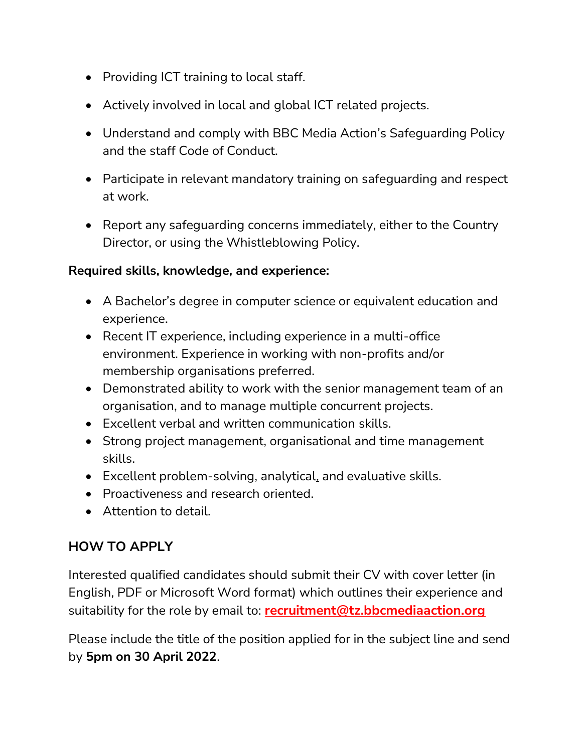- Providing ICT training to local staff.
- Actively involved in local and global ICT related projects.
- Understand and comply with BBC Media Action's Safeguarding Policy and the staff Code of Conduct.
- Participate in relevant mandatory training on safeguarding and respect at work.
- Report any safeguarding concerns immediately, either to the Country Director, or using the Whistleblowing Policy.

#### **Required skills, knowledge, and experience:**

- A Bachelor's degree in computer science or equivalent education and experience.
- Recent IT experience, including experience in a multi-office environment. Experience in working with non-profits and/or membership organisations preferred.
- Demonstrated ability to work with the senior management team of an organisation, and to manage multiple concurrent projects.
- Excellent verbal and written communication skills.
- Strong project management, organisational and time management skills.
- Excellent problem-solving, analytica[l,](https://helpfuljobs.info/) and evaluative skills.
- Proactiveness and research oriented.
- Attention to detail.

## **HOW TO APPLY**

Interested qualified candidates should submit their CV with cover letter (in English, PDF or Microsoft Word format) which outlines their experience and suitability for the role by email to: **[recruitment@tz.bbcmediaaction.org](mailto:recruitment@tz.bbcmediaaction.org)**

Please include the title of the position applied for in the subject line and send by **5pm on 30 April 2022**.